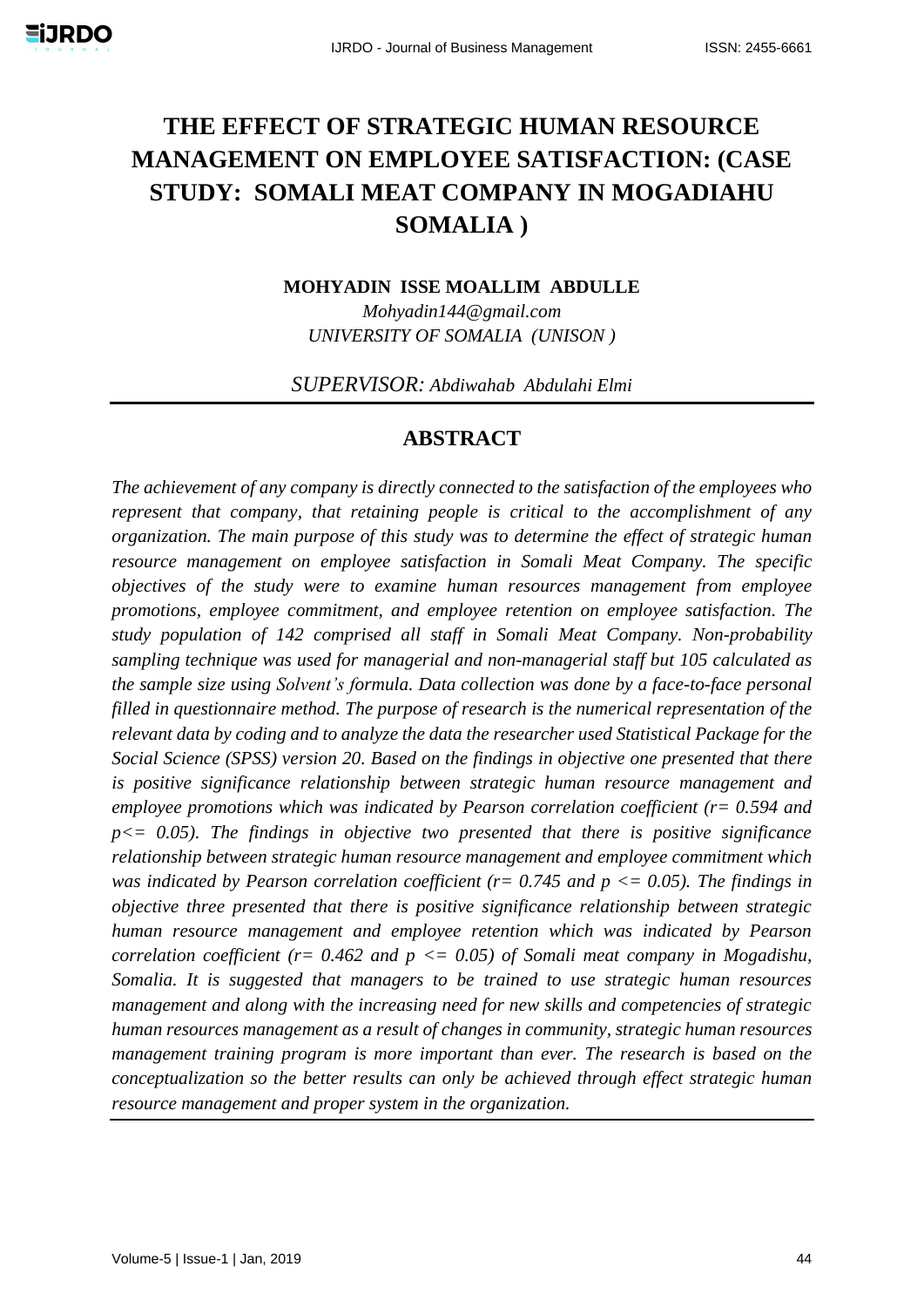# **THE EFFECT OF STRATEGIC HUMAN RESOURCE MANAGEMENT ON EMPLOYEE SATISFACTION: (CASE STUDY: SOMALI MEAT COMPANY IN MOGADIAHU SOMALIA )**

**MOHYADIN ISSE MOALLIM ABDULLE** 

*Mohyadin144@gmail.com UNIVERSITY OF SOMALIA (UNISON )*

*SUPERVISOR: Abdiwahab Abdulahi Elmi*

### **ABSTRACT**

*The achievement of any company is directly connected to the satisfaction of the employees who represent that company, that retaining people is critical to the accomplishment of any organization. The main purpose of this study was to determine the effect of strategic human resource management on employee satisfaction in Somali Meat Company. The specific objectives of the study were to examine human resources management from employee promotions, employee commitment, and employee retention on employee satisfaction. The study population of 142 comprised all staff in Somali Meat Company. Non-probability sampling technique was used for managerial and non-managerial staff but 105 calculated as the sample size using Solvent's formula. Data collection was done by a face-to-face personal filled in questionnaire method. The purpose of research is the numerical representation of the relevant data by coding and to analyze the data the researcher used Statistical Package for the Social Science (SPSS) version 20. Based on the findings in objective one presented that there is positive significance relationship between strategic human resource management and employee promotions which was indicated by Pearson correlation coefficient (r= 0.594 and p<= 0.05). The findings in objective two presented that there is positive significance relationship between strategic human resource management and employee commitment which was indicated by Pearson correlation coefficient (r= 0.745 and p <= 0.05). The findings in objective three presented that there is positive significance relationship between strategic human resource management and employee retention which was indicated by Pearson correlation coefficient (r= 0.462 and p <= 0.05) of Somali meat company in Mogadishu, Somalia. It is suggested that managers to be trained to use strategic human resources management and along with the increasing need for new skills and competencies of strategic human resources management as a result of changes in community, strategic human resources management training program is more important than ever. The research is based on the conceptualization so the better results can only be achieved through effect strategic human resource management and proper system in the organization.*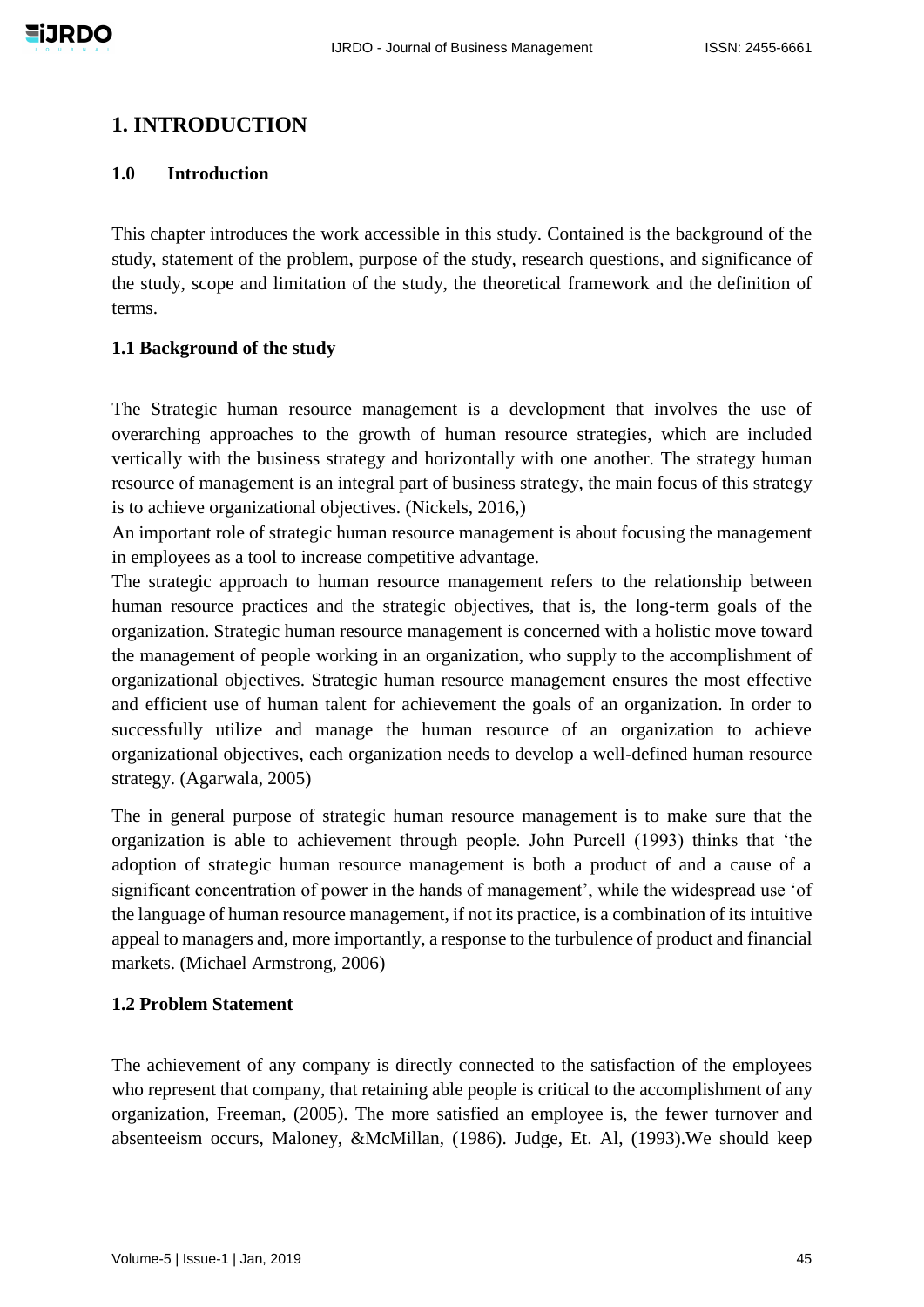# **1. INTRODUCTION**

#### **1.0 Introduction**

This chapter introduces the work accessible in this study. Contained is the background of the study, statement of the problem, purpose of the study, research questions, and significance of the study, scope and limitation of the study, the theoretical framework and the definition of terms.

#### **1.1 Background of the study**

The Strategic human resource management is a development that involves the use of overarching approaches to the growth of human resource strategies, which are included vertically with the business strategy and horizontally with one another. The strategy human resource of management is an integral part of business strategy, the main focus of this strategy is to achieve organizational objectives. (Nickels, 2016,)

An important role of strategic human resource management is about focusing the management in employees as a tool to increase competitive advantage.

The strategic approach to human resource management refers to the relationship between human resource practices and the strategic objectives, that is, the long-term goals of the organization. Strategic human resource management is concerned with a holistic move toward the management of people working in an organization, who supply to the accomplishment of organizational objectives. Strategic human resource management ensures the most effective and efficient use of human talent for achievement the goals of an organization. In order to successfully utilize and manage the human resource of an organization to achieve organizational objectives, each organization needs to develop a well-defined human resource strategy. (Agarwala, 2005)

The in general purpose of strategic human resource management is to make sure that the organization is able to achievement through people. John Purcell (1993) thinks that 'the adoption of strategic human resource management is both a product of and a cause of a significant concentration of power in the hands of management', while the widespread use 'of the language of human resource management, if not its practice, is a combination of its intuitive appeal to managers and, more importantly, a response to the turbulence of product and financial markets. (Michael Armstrong, 2006)

#### **1.2 Problem Statement**

The achievement of any company is directly connected to the satisfaction of the employees who represent that company, that retaining able people is critical to the accomplishment of any organization, Freeman, (2005). The more satisfied an employee is, the fewer turnover and absenteeism occurs, Maloney, &McMillan, (1986). Judge, Et. Al, (1993).We should keep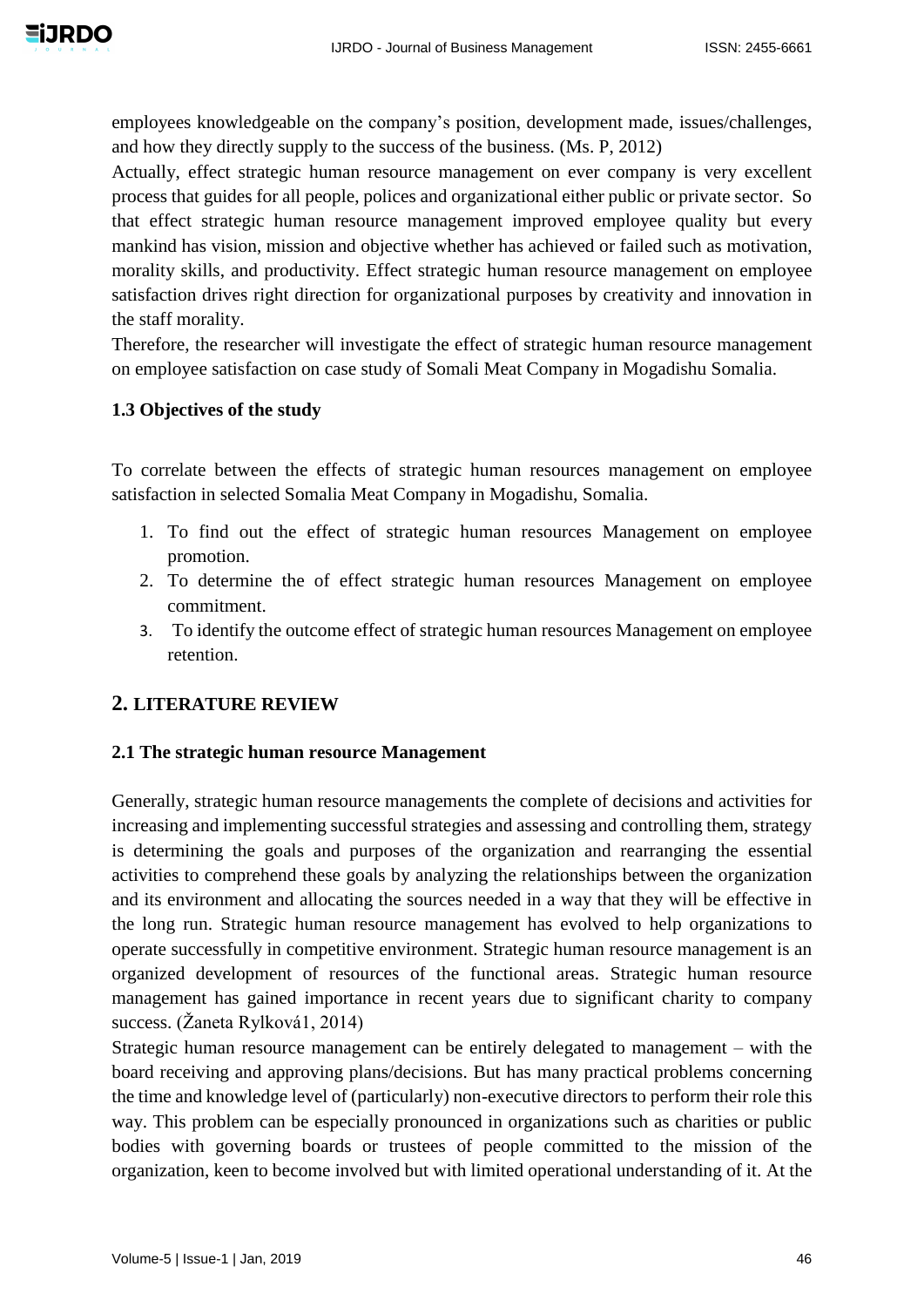employees knowledgeable on the company's position, development made, issues/challenges, and how they directly supply to the success of the business. (Ms. P, 2012)

Actually, effect strategic human resource management on ever company is very excellent process that guides for all people, polices and organizational either public or private sector. So that effect strategic human resource management improved employee quality but every mankind has vision, mission and objective whether has achieved or failed such as motivation, morality skills, and productivity. Effect strategic human resource management on employee satisfaction drives right direction for organizational purposes by creativity and innovation in the staff morality.

Therefore, the researcher will investigate the effect of strategic human resource management on employee satisfaction on case study of Somali Meat Company in Mogadishu Somalia.

#### **1.3 Objectives of the study**

To correlate between the effects of strategic human resources management on employee satisfaction in selected Somalia Meat Company in Mogadishu, Somalia.

- 1. To find out the effect of strategic human resources Management on employee promotion.
- 2. To determine the of effect strategic human resources Management on employee commitment.
- 3. To identify the outcome effect of strategic human resources Management on employee retention.

### **2. LITERATURE REVIEW**

#### **2.1 The strategic human resource Management**

Generally, strategic human resource managements the complete of decisions and activities for increasing and implementing successful strategies and assessing and controlling them, strategy is determining the goals and purposes of the organization and rearranging the essential activities to comprehend these goals by analyzing the relationships between the organization and its environment and allocating the sources needed in a way that they will be effective in the long run. Strategic human resource management has evolved to help organizations to operate successfully in competitive environment. Strategic human resource management is an organized development of resources of the functional areas. Strategic human resource management has gained importance in recent years due to significant charity to company success. (Žaneta Rylková1, 2014)

Strategic human resource management can be entirely delegated to management – with the board receiving and approving plans/decisions. But has many practical problems concerning the time and knowledge level of (particularly) non-executive directors to perform their role this way. This problem can be especially pronounced in organizations such as charities or public bodies with governing boards or trustees of people committed to the mission of the organization, keen to become involved but with limited operational understanding of it. At the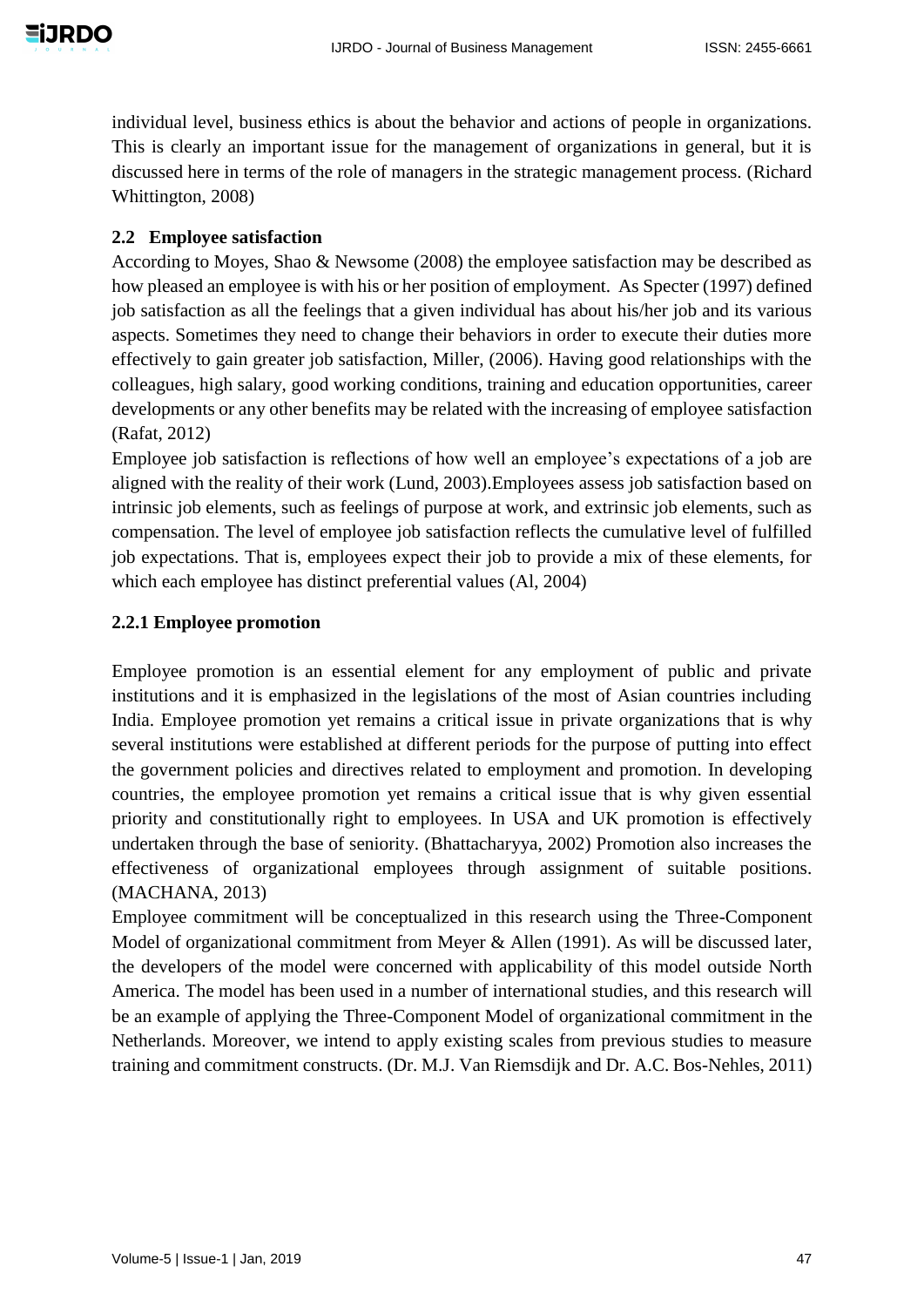individual level, business ethics is about the behavior and actions of people in organizations. This is clearly an important issue for the management of organizations in general, but it is discussed here in terms of the role of managers in the strategic management process. (Richard Whittington, 2008)

### **2.2 Employee satisfaction**

According to Moyes, Shao & Newsome (2008) the employee satisfaction may be described as how pleased an employee is with his or her position of employment. As Specter (1997) defined job satisfaction as all the feelings that a given individual has about his/her job and its various aspects. Sometimes they need to change their behaviors in order to execute their duties more effectively to gain greater job satisfaction, Miller, (2006). Having good relationships with the colleagues, high salary, good working conditions, training and education opportunities, career developments or any other benefits may be related with the increasing of employee satisfaction (Rafat, 2012)

Employee job satisfaction is reflections of how well an employee's expectations of a job are aligned with the reality of their work (Lund, 2003).Employees assess job satisfaction based on intrinsic job elements, such as feelings of purpose at work, and extrinsic job elements, such as compensation. The level of employee job satisfaction reflects the cumulative level of fulfilled job expectations. That is, employees expect their job to provide a mix of these elements, for which each employee has distinct preferential values (Al, 2004)

#### **2.2.1 Employee promotion**

Employee promotion is an essential element for any employment of public and private institutions and it is emphasized in the legislations of the most of Asian countries including India. Employee promotion yet remains a critical issue in private organizations that is why several institutions were established at different periods for the purpose of putting into effect the government policies and directives related to employment and promotion. In developing countries, the employee promotion yet remains a critical issue that is why given essential priority and constitutionally right to employees. In USA and UK promotion is effectively undertaken through the base of seniority. (Bhattacharyya, 2002) Promotion also increases the effectiveness of organizational employees through assignment of suitable positions. (MACHANA, 2013)

Employee commitment will be conceptualized in this research using the Three-Component Model of organizational commitment from Meyer & Allen (1991). As will be discussed later, the developers of the model were concerned with applicability of this model outside North America. The model has been used in a number of international studies, and this research will be an example of applying the Three-Component Model of organizational commitment in the Netherlands. Moreover, we intend to apply existing scales from previous studies to measure training and commitment constructs. (Dr. M.J. Van Riemsdijk and Dr. A.C. Bos-Nehles, 2011)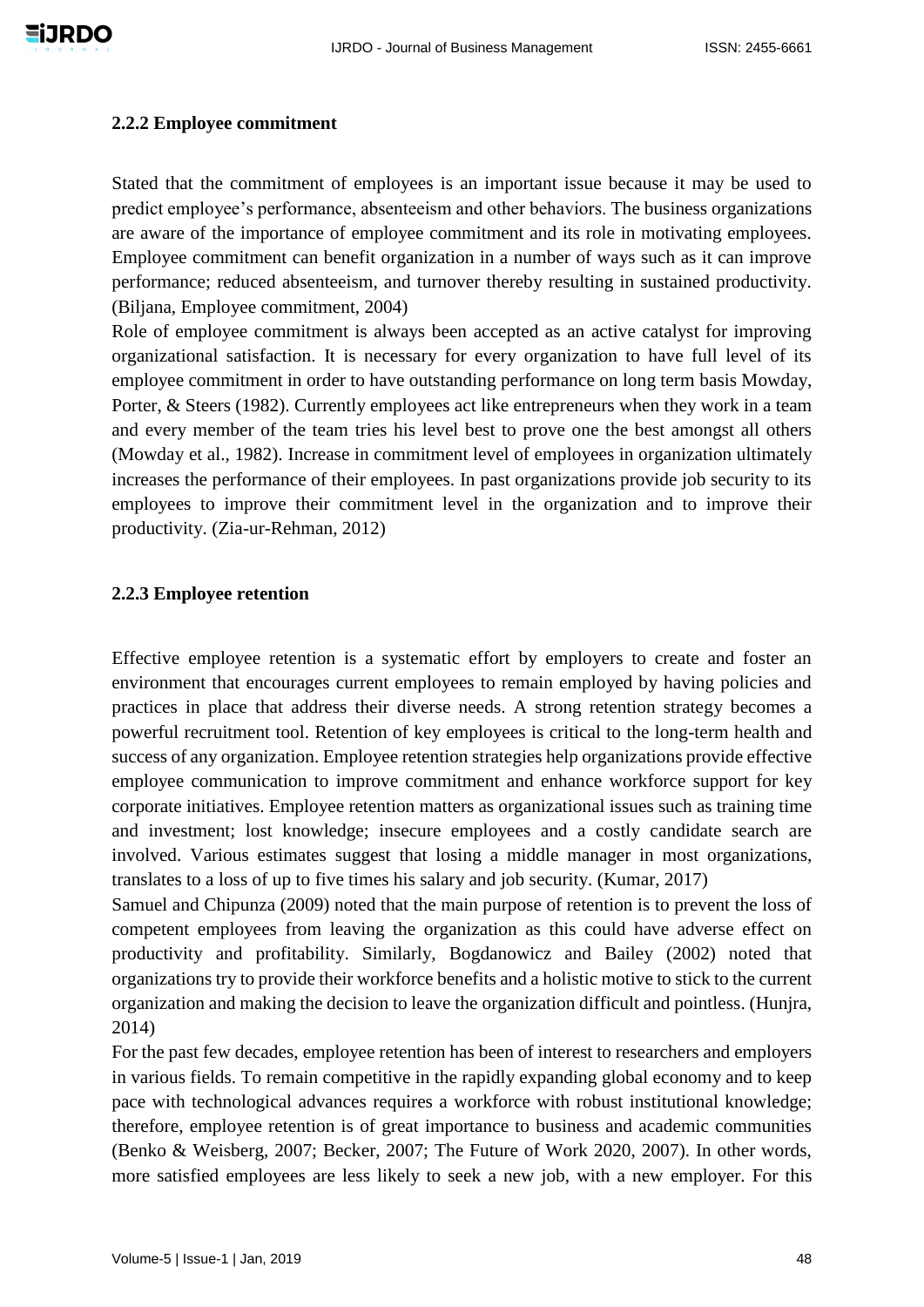#### **2.2.2 Employee commitment**

Stated that the commitment of employees is an important issue because it may be used to predict employee's performance, absenteeism and other behaviors. The business organizations are aware of the importance of employee commitment and its role in motivating employees. Employee commitment can benefit organization in a number of ways such as it can improve performance; reduced absenteeism, and turnover thereby resulting in sustained productivity. (Biljana, Employee commitment, 2004)

Role of employee commitment is always been accepted as an active catalyst for improving organizational satisfaction. It is necessary for every organization to have full level of its employee commitment in order to have outstanding performance on long term basis Mowday, Porter, & Steers (1982). Currently employees act like entrepreneurs when they work in a team and every member of the team tries his level best to prove one the best amongst all others (Mowday et al., 1982). Increase in commitment level of employees in organization ultimately increases the performance of their employees. In past organizations provide job security to its employees to improve their commitment level in the organization and to improve their productivity. (Zia-ur-Rehman, 2012)

#### **2.2.3 Employee retention**

Effective employee retention is a systematic effort by employers to create and foster an environment that encourages current employees to remain employed by having policies and practices in place that address their diverse needs. A strong retention strategy becomes a powerful recruitment tool. Retention of key employees is critical to the long-term health and success of any organization. Employee retention strategies help organizations provide effective employee communication to improve commitment and enhance workforce support for key corporate initiatives. Employee retention matters as organizational issues such as training time and investment; lost knowledge; insecure employees and a costly candidate search are involved. Various estimates suggest that losing a middle manager in most organizations, translates to a loss of up to five times his salary and job security. (Kumar, 2017)

Samuel and Chipunza (2009) noted that the main purpose of retention is to prevent the loss of competent employees from leaving the organization as this could have adverse effect on productivity and profitability. Similarly, Bogdanowicz and Bailey (2002) noted that organizations try to provide their workforce benefits and a holistic motive to stick to the current organization and making the decision to leave the organization difficult and pointless. (Hunjra, 2014)

For the past few decades, employee retention has been of interest to researchers and employers in various fields. To remain competitive in the rapidly expanding global economy and to keep pace with technological advances requires a workforce with robust institutional knowledge; therefore, employee retention is of great importance to business and academic communities (Benko & Weisberg, 2007; Becker, 2007; The Future of Work 2020, 2007). In other words, more satisfied employees are less likely to seek a new job, with a new employer. For this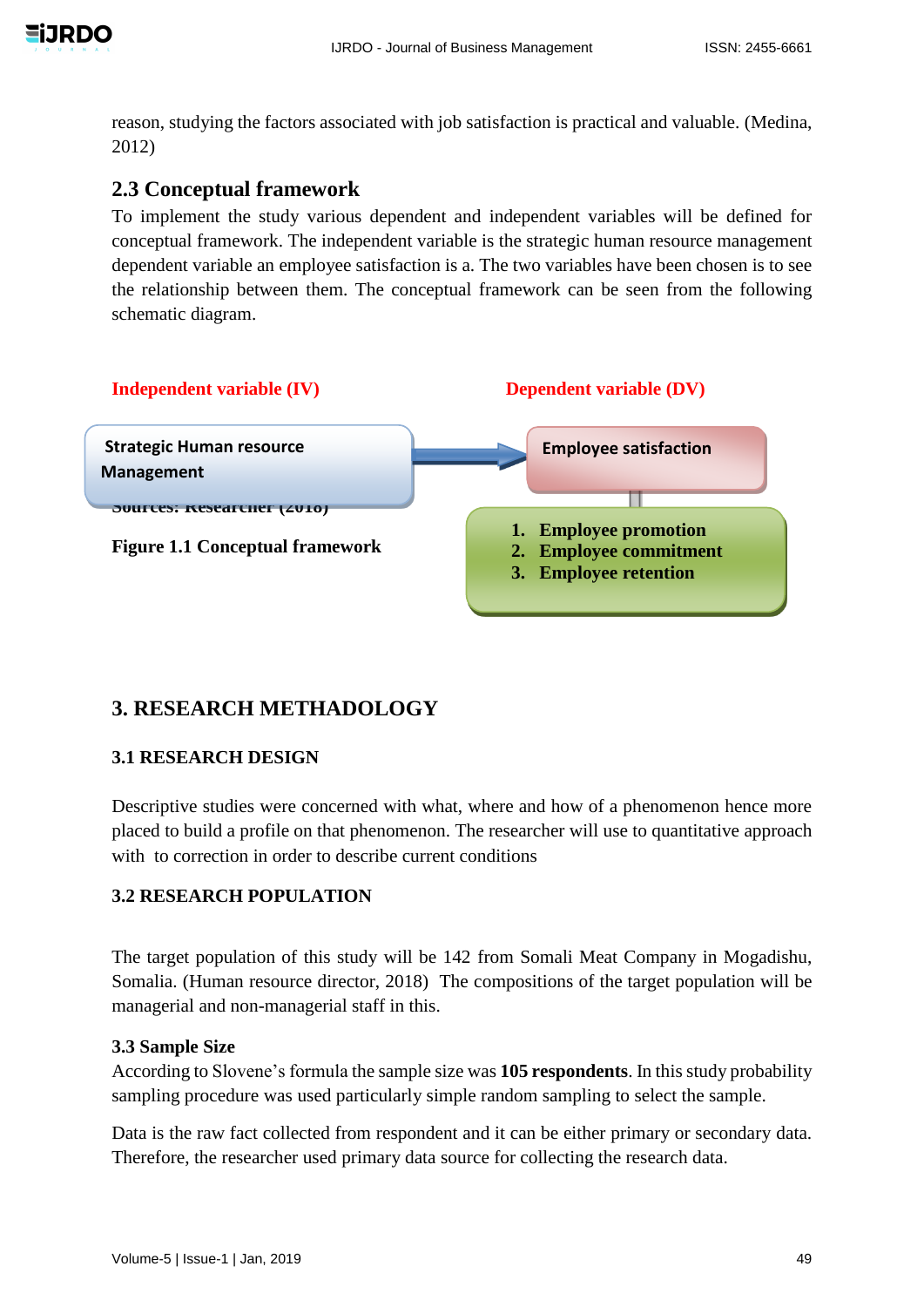

reason, studying the factors associated with job satisfaction is practical and valuable. (Medina, 2012)

# **2.3 Conceptual framework**

To implement the study various dependent and independent variables will be defined for conceptual framework. The independent variable is the strategic human resource management dependent variable an employee satisfaction is a. The two variables have been chosen is to see the relationship between them. The conceptual framework can be seen from the following schematic diagram.



# **3. RESEARCH METHADOLOGY**

#### **3.1 RESEARCH DESIGN**

Descriptive studies were concerned with what, where and how of a phenomenon hence more placed to build a profile on that phenomenon. The researcher will use to quantitative approach with to correction in order to describe current conditions

### **3.2 RESEARCH POPULATION**

The target population of this study will be 142 from Somali Meat Company in Mogadishu, Somalia. (Human resource director, 2018) The compositions of the target population will be managerial and non-managerial staff in this.

#### **3.3 Sample Size**

According to Slovene's formula the sample size was **105 respondents**. In this study probability sampling procedure was used particularly simple random sampling to select the sample.

Data is the raw fact collected from respondent and it can be either primary or secondary data. Therefore, the researcher used primary data source for collecting the research data.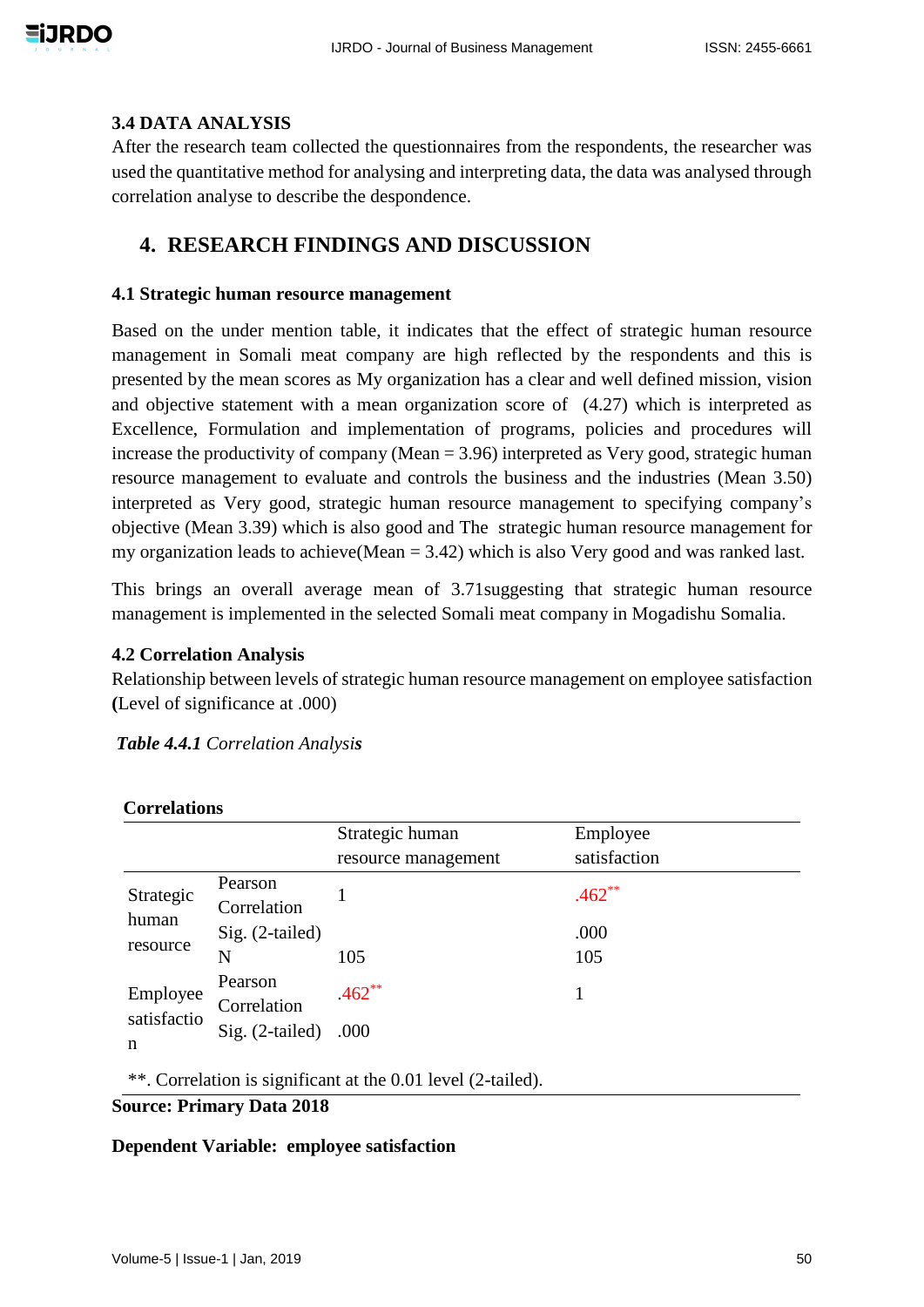#### **3.4 DATA ANALYSIS**

After the research team collected the questionnaires from the respondents, the researcher was used the quantitative method for analysing and interpreting data, the data was analysed through correlation analyse to describe the despondence.

# **4. RESEARCH FINDINGS AND DISCUSSION**

#### **4.1 Strategic human resource management**

Based on the under mention table, it indicates that the effect of strategic human resource management in Somali meat company are high reflected by the respondents and this is presented by the mean scores as My organization has a clear and well defined mission, vision and objective statement with a mean organization score of (4.27) which is interpreted as Excellence, Formulation and implementation of programs, policies and procedures will increase the productivity of company (Mean  $= 3.96$ ) interpreted as Very good, strategic human resource management to evaluate and controls the business and the industries (Mean 3.50) interpreted as Very good, strategic human resource management to specifying company's objective (Mean 3.39) which is also good and The strategic human resource management for my organization leads to achieve(Mean = 3.42) which is also Very good and was ranked last.

This brings an overall average mean of 3.71suggesting that strategic human resource management is implemented in the selected Somali meat company in Mogadishu Somalia.

#### **4.2 Correlation Analysis**

**Correlations**

Relationship between levels of strategic human resource management on employee satisfaction **(**Level of significance at .000)

| CULLUQUULU                                                     |                                           |                     |              |  |  |  |  |
|----------------------------------------------------------------|-------------------------------------------|---------------------|--------------|--|--|--|--|
|                                                                |                                           | Strategic human     | Employee     |  |  |  |  |
|                                                                |                                           | resource management | satisfaction |  |  |  |  |
| Strategic<br>human<br>resource<br>Employee<br>satisfactio<br>n | Pearson<br>Correlation                    |                     | $.462**$     |  |  |  |  |
|                                                                | $Sig. (2-tailed)$                         |                     | .000         |  |  |  |  |
|                                                                | N                                         | 105                 | 105          |  |  |  |  |
|                                                                | Pearson<br>Correlation<br>Sig. (2-tailed) | $462**$<br>.000     |              |  |  |  |  |

\*\*. Correlation is significant at the 0.01 level (2-tailed).

# **Source: Primary Data 2018**

#### **Dependent Variable: employee satisfaction**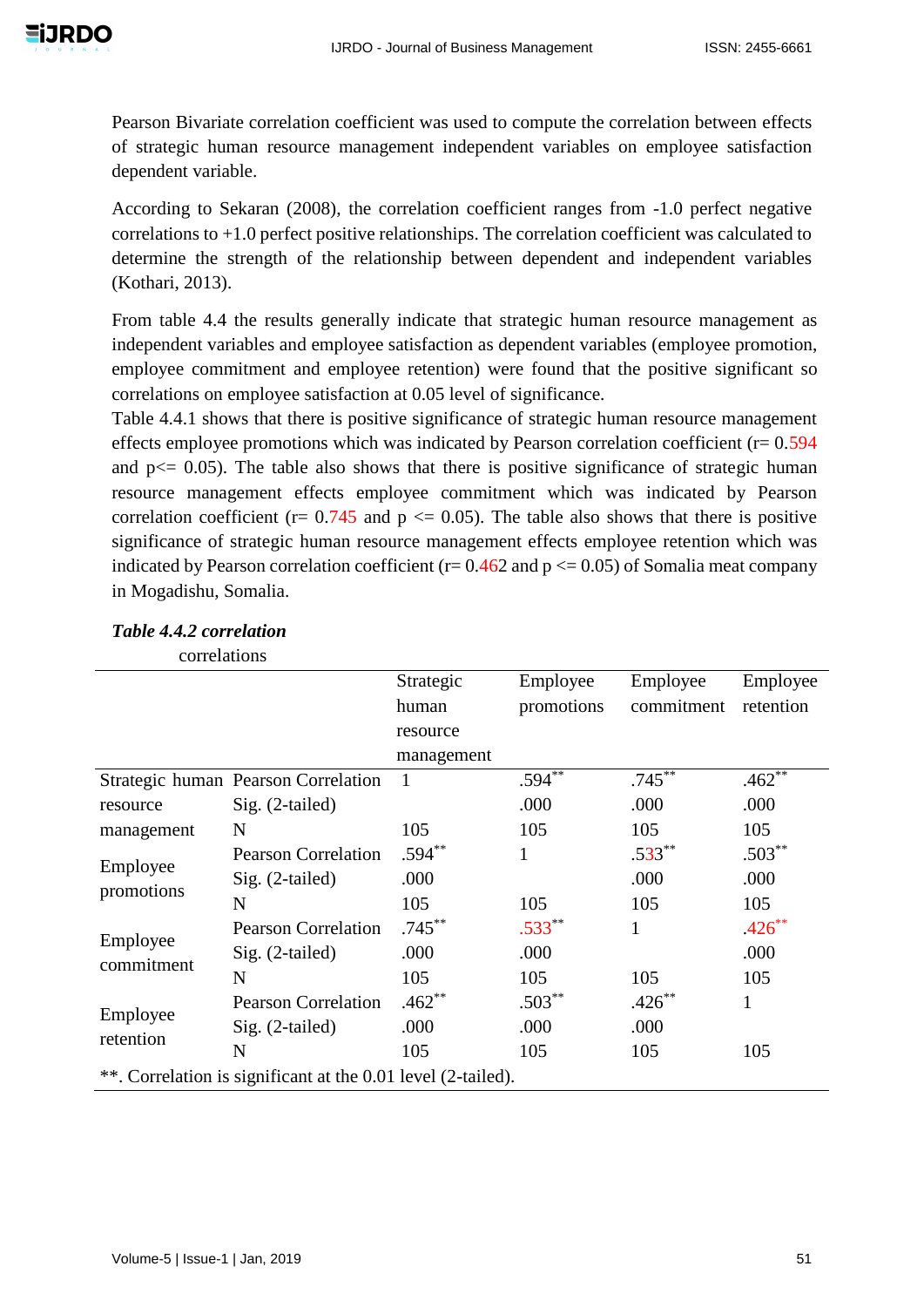Pearson Bivariate correlation coefficient was used to compute the correlation between effects of strategic human resource management independent variables on employee satisfaction dependent variable.

According to Sekaran (2008), the correlation coefficient ranges from -1.0 perfect negative correlations to +1.0 perfect positive relationships. The correlation coefficient was calculated to determine the strength of the relationship between dependent and independent variables (Kothari, 2013).

From table 4.4 the results generally indicate that strategic human resource management as independent variables and employee satisfaction as dependent variables (employee promotion, employee commitment and employee retention) were found that the positive significant so correlations on employee satisfaction at 0.05 level of significance.

Table 4.4.1 shows that there is positive significance of strategic human resource management effects employee promotions which was indicated by Pearson correlation coefficient ( $r= 0.594$ ) and  $p \leq 0.05$ ). The table also shows that there is positive significance of strategic human resource management effects employee commitment which was indicated by Pearson correlation coefficient ( $r = 0.745$  and  $p \le 0.05$ ). The table also shows that there is positive significance of strategic human resource management effects employee retention which was indicated by Pearson correlation coefficient ( $r= 0.462$  and  $p \le 0.05$ ) of Somalia meat company in Mogadishu, Somalia.

| correlations          |                                                              |            |              |              |              |
|-----------------------|--------------------------------------------------------------|------------|--------------|--------------|--------------|
|                       |                                                              | Strategic  | Employee     | Employee     | Employee     |
|                       |                                                              | human      | promotions   | commitment   | retention    |
|                       |                                                              | resource   |              |              |              |
|                       |                                                              | management |              |              |              |
|                       | Strategic human Pearson Correlation                          | 1          | $.594^{**}$  | $.745***$    | .462         |
| resource              | Sig. (2-tailed)                                              |            | .000         | .000         | .000         |
| management            | N                                                            | 105        | 105          | 105          | 105          |
|                       | <b>Pearson Correlation</b>                                   | $.594**$   | $\mathbf{1}$ | $.533**$     | $.503**$     |
| Employee              | $Sig. (2-tailed)$                                            | .000       |              | .000         | .000         |
| promotions            | N                                                            | 105        | 105          | 105          | 105          |
| Employee              | <b>Pearson Correlation</b>                                   | $.745***$  | $.533**$     | $\mathbf{1}$ | $.426**$     |
| commitment            | Sig. (2-tailed)                                              | .000       | .000         |              | .000         |
|                       | N                                                            | 105        | 105          | 105          | 105          |
|                       | <b>Pearson Correlation</b>                                   | $.462**$   | $.503**$     | $.426***$    | $\mathbf{1}$ |
| Employee<br>retention | $Sig. (2-tailed)$                                            | .000       | .000         | .000         |              |
|                       | N                                                            | 105        | 105          | 105          | 105          |
|                       | **. Correlation is significant at the 0.01 level (2-tailed). |            |              |              |              |

#### *Table 4.4.2 correlation*

Volume-5 | Issue-1 | Jan, 2019 51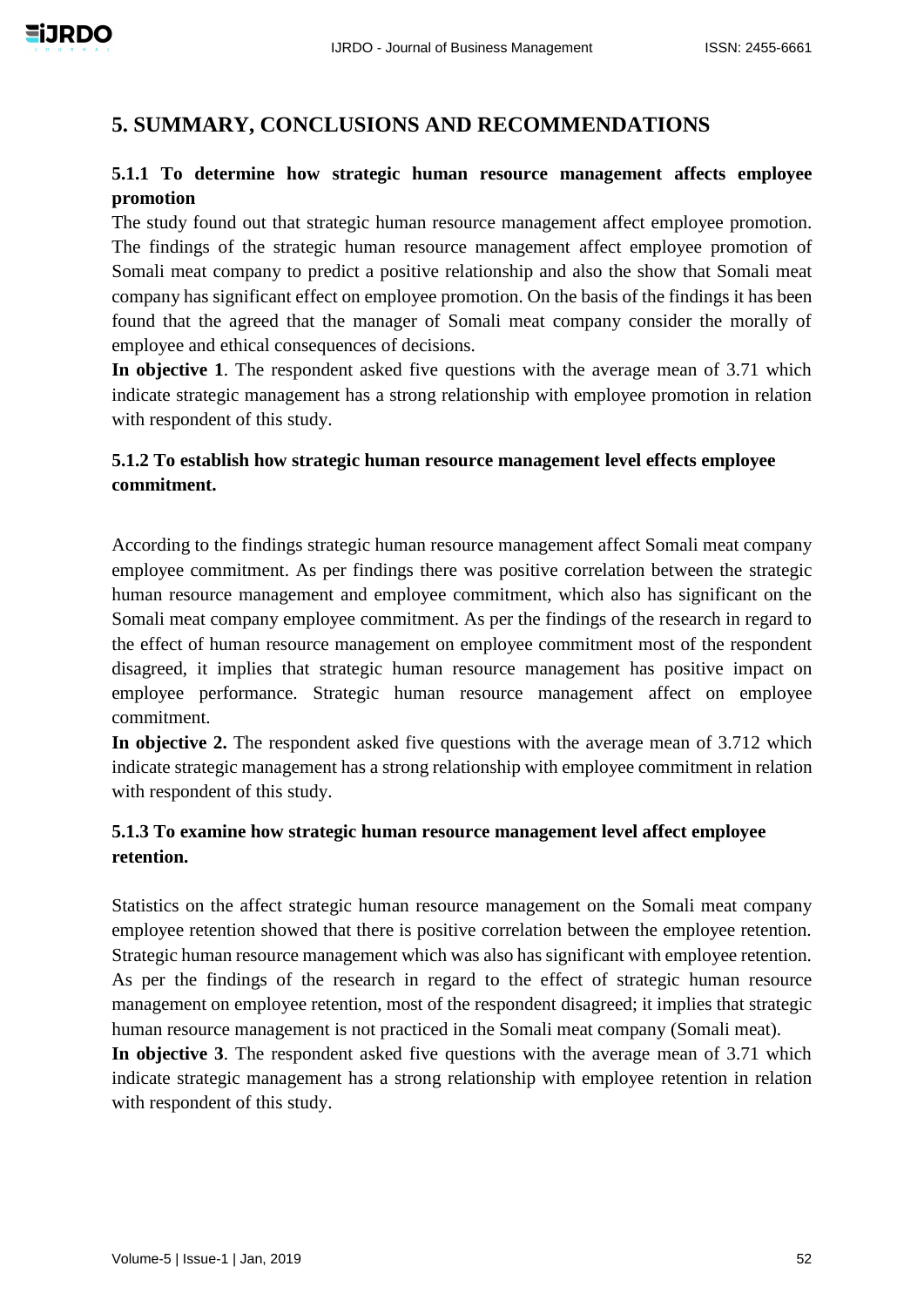# **5. SUMMARY, CONCLUSIONS AND RECOMMENDATIONS**

# **5.1.1 To determine how strategic human resource management affects employee promotion**

The study found out that strategic human resource management affect employee promotion. The findings of the strategic human resource management affect employee promotion of Somali meat company to predict a positive relationship and also the show that Somali meat company has significant effect on employee promotion. On the basis of the findings it has been found that the agreed that the manager of Somali meat company consider the morally of employee and ethical consequences of decisions.

**In objective 1**. The respondent asked five questions with the average mean of 3.71 which indicate strategic management has a strong relationship with employee promotion in relation with respondent of this study.

# **5.1.2 To establish how strategic human resource management level effects employee commitment.**

According to the findings strategic human resource management affect Somali meat company employee commitment. As per findings there was positive correlation between the strategic human resource management and employee commitment, which also has significant on the Somali meat company employee commitment. As per the findings of the research in regard to the effect of human resource management on employee commitment most of the respondent disagreed, it implies that strategic human resource management has positive impact on employee performance. Strategic human resource management affect on employee commitment.

**In objective 2.** The respondent asked five questions with the average mean of 3.712 which indicate strategic management has a strong relationship with employee commitment in relation with respondent of this study.

# **5.1.3 To examine how strategic human resource management level affect employee retention.**

Statistics on the affect strategic human resource management on the Somali meat company employee retention showed that there is positive correlation between the employee retention. Strategic human resource management which was also has significant with employee retention. As per the findings of the research in regard to the effect of strategic human resource management on employee retention, most of the respondent disagreed; it implies that strategic human resource management is not practiced in the Somali meat company (Somali meat).

**In objective 3**. The respondent asked five questions with the average mean of 3.71 which indicate strategic management has a strong relationship with employee retention in relation with respondent of this study.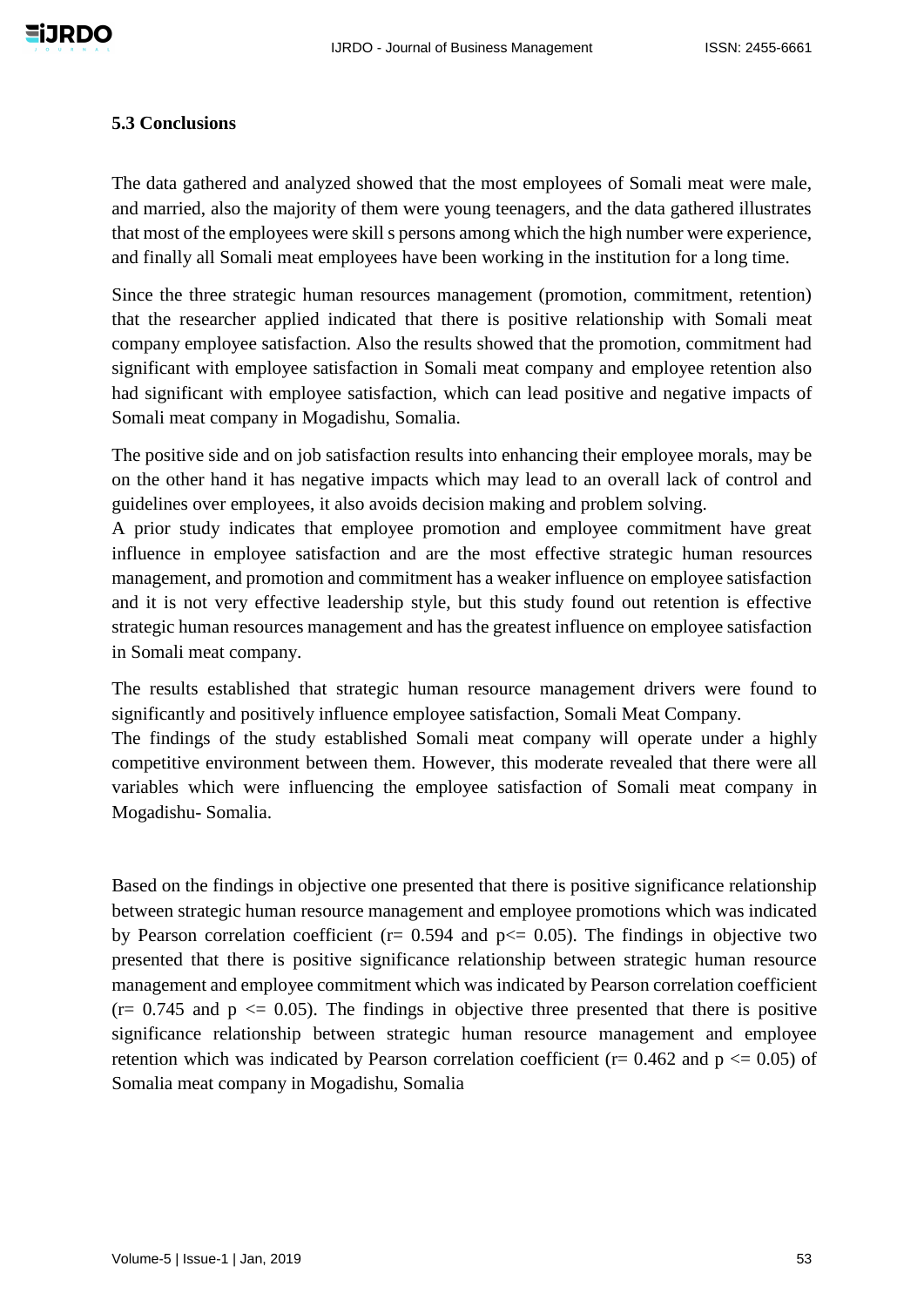#### **5.3 Conclusions**

The data gathered and analyzed showed that the most employees of Somali meat were male, and married, also the majority of them were young teenagers, and the data gathered illustrates that most of the employees were skill s persons among which the high number were experience, and finally all Somali meat employees have been working in the institution for a long time.

Since the three strategic human resources management (promotion, commitment, retention) that the researcher applied indicated that there is positive relationship with Somali meat company employee satisfaction. Also the results showed that the promotion, commitment had significant with employee satisfaction in Somali meat company and employee retention also had significant with employee satisfaction, which can lead positive and negative impacts of Somali meat company in Mogadishu, Somalia.

The positive side and on job satisfaction results into enhancing their employee morals, may be on the other hand it has negative impacts which may lead to an overall lack of control and guidelines over employees, it also avoids decision making and problem solving.

A prior study indicates that employee promotion and employee commitment have great influence in employee satisfaction and are the most effective strategic human resources management, and promotion and commitment has a weaker influence on employee satisfaction and it is not very effective leadership style, but this study found out retention is effective strategic human resources management and has the greatest influence on employee satisfaction in Somali meat company.

The results established that strategic human resource management drivers were found to significantly and positively influence employee satisfaction, Somali Meat Company.

The findings of the study established Somali meat company will operate under a highly competitive environment between them. However, this moderate revealed that there were all variables which were influencing the employee satisfaction of Somali meat company in Mogadishu- Somalia.

Based on the findings in objective one presented that there is positive significance relationship between strategic human resource management and employee promotions which was indicated by Pearson correlation coefficient ( $r= 0.594$  and  $p \le 0.05$ ). The findings in objective two presented that there is positive significance relationship between strategic human resource management and employee commitment which was indicated by Pearson correlation coefficient  $(r= 0.745$  and  $p \leq 0.05$ ). The findings in objective three presented that there is positive significance relationship between strategic human resource management and employee retention which was indicated by Pearson correlation coefficient ( $r = 0.462$  and  $p \le 0.05$ ) of Somalia meat company in Mogadishu, Somalia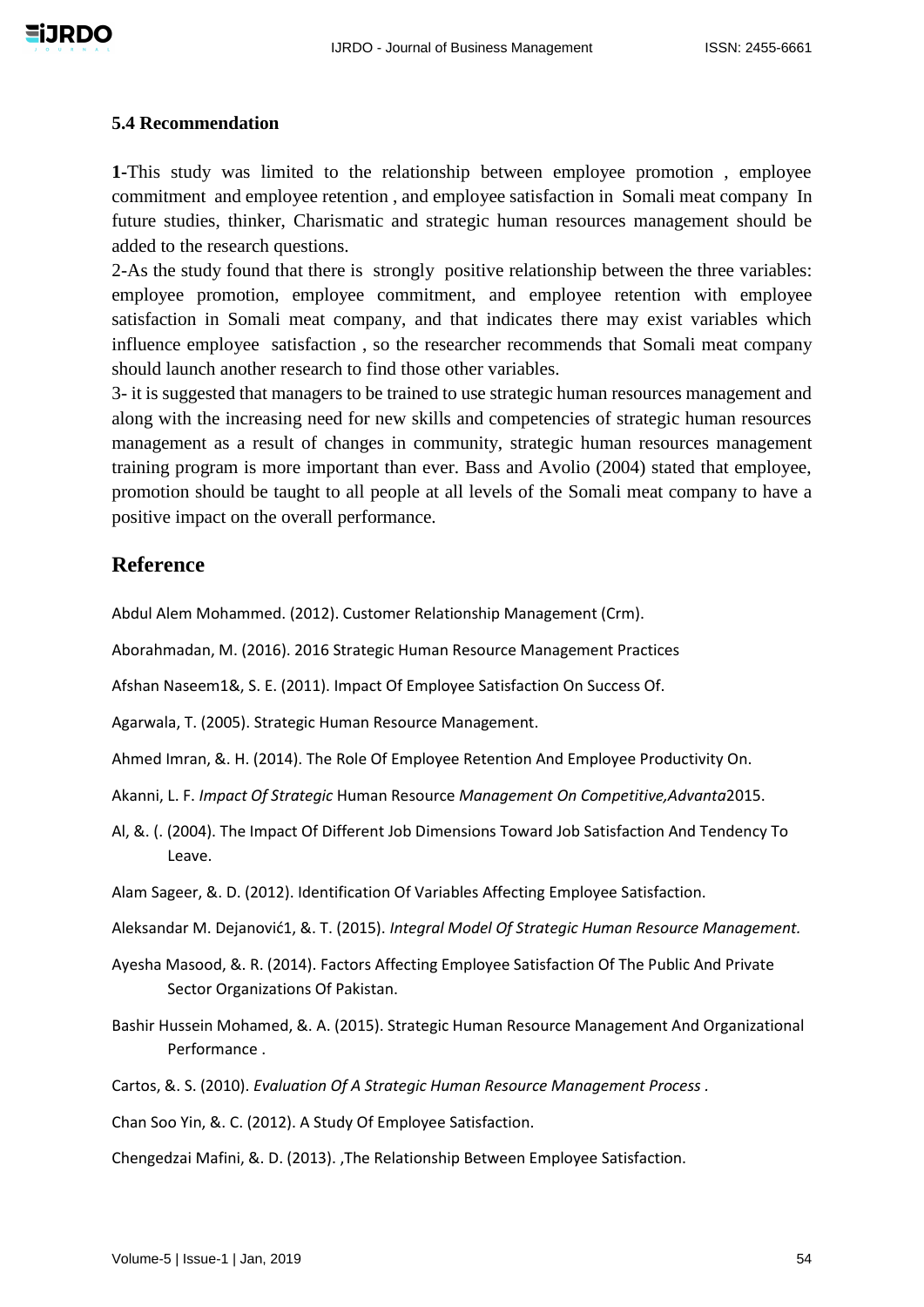

#### **5.4 Recommendation**

**1-**This study was limited to the relationship between employee promotion , employee commitment and employee retention , and employee satisfaction in Somali meat company In future studies, thinker, Charismatic and strategic human resources management should be added to the research questions.

2-As the study found that there is strongly positive relationship between the three variables: employee promotion, employee commitment, and employee retention with employee satisfaction in Somali meat company, and that indicates there may exist variables which influence employee satisfaction , so the researcher recommends that Somali meat company should launch another research to find those other variables.

3- it is suggested that managers to be trained to use strategic human resources management and along with the increasing need for new skills and competencies of strategic human resources management as a result of changes in community, strategic human resources management training program is more important than ever. Bass and Avolio (2004) stated that employee, promotion should be taught to all people at all levels of the Somali meat company to have a positive impact on the overall performance.

# **Reference**

Abdul Alem Mohammed. (2012). Customer Relationship Management (Crm).

Aborahmadan, M. (2016). 2016 Strategic Human Resource Management Practices

Afshan Naseem1&, S. E. (2011). Impact Of Employee Satisfaction On Success Of.

Agarwala, T. (2005). Strategic Human Resource Management.

Ahmed Imran, &. H. (2014). The Role Of Employee Retention And Employee Productivity On.

Akanni, L. F. *Impact Of Strategic* Human Resource *Management On Competitive,Advanta*2015.

- Al, &. (. (2004). The Impact Of Different Job Dimensions Toward Job Satisfaction And Tendency To Leave.
- Alam Sageer, &. D. (2012). Identification Of Variables Affecting Employee Satisfaction.
- Aleksandar M. Dejanović1, &. T. (2015). *Integral Model Of Strategic Human Resource Management.*
- Ayesha Masood, &. R. (2014). Factors Affecting Employee Satisfaction Of The Public And Private Sector Organizations Of Pakistan.
- Bashir Hussein Mohamed, &. A. (2015). Strategic Human Resource Management And Organizational Performance .

Cartos, &. S. (2010). *Evaluation Of A Strategic Human Resource Management Process .*

Chan Soo Yin, &. C. (2012). A Study Of Employee Satisfaction.

Chengedzai Mafini, &. D. (2013). ,The Relationship Between Employee Satisfaction.